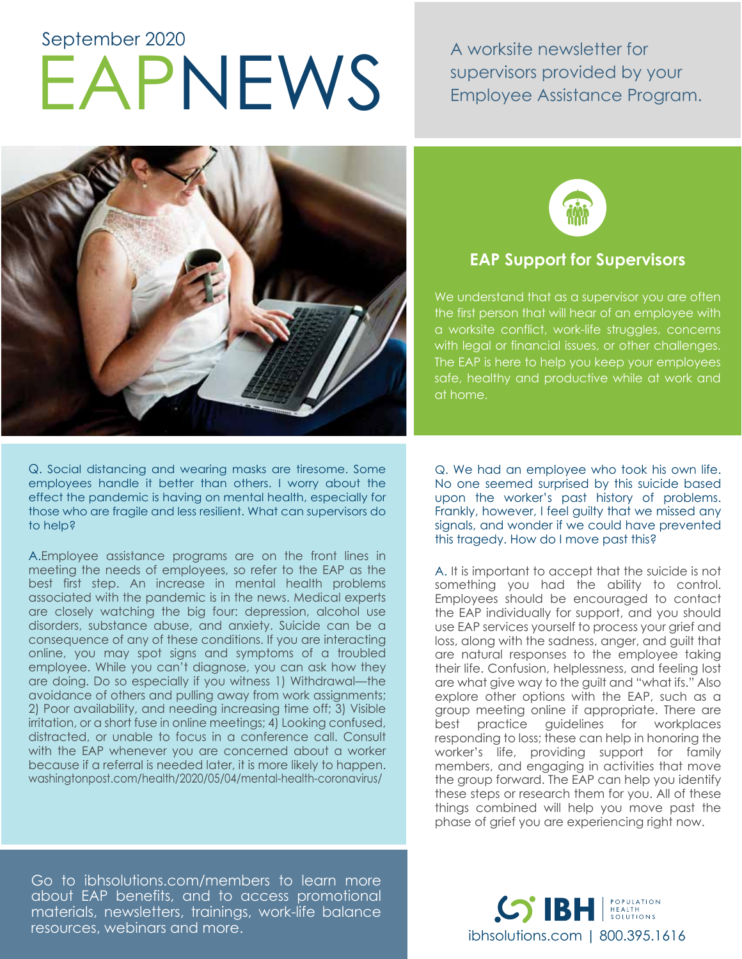# EAPNEWS A worksite newsletter for<br>Employee Assistance Pro September 2020

supervisors provided by your Employee Assistance Program.



Q. Social distancing and wearing masks are tiresome. Some employees handle it better than others. I worry about the effect the pandemic is having on mental health, especially for those who are fragile and less resilient. What can supervisors do to help?

A.Employee assistance programs are on the front lines in meeting the needs of employees, so refer to the EAP as the best first step. An increase in mental health problems associated with the pandemic is in the news. Medical experts are closely watching the big four: depression, alcohol use disorders, substance abuse, and anxiety. Suicide can be a consequence of any of these conditions. If you are interacting online, you may spot signs and symptoms of a troubled employee. While you can't diagnose, you can ask how they are doing. Do so especially if you witness 1) Withdrawal—the avoidance of others and pulling away from work assignments; 2) Poor availability, and needing increasing time off; 3) Visible irritation, or a short fuse in online meetings; 4) Looking confused, distracted, or unable to focus in a conference call. Consult with the EAP whenever you are concerned about a worker because if a referral is needed later, it is more likely to happen. washingtonpost.com/health/2020/05/04/mental-health-coronavirus/



## **EAP Support for Supervisors**

We understand that as a supervisor you are often the first person that will hear of an employee with a worksite conflict, work-life struggles, concerns with legal or financial issues, or other challenges. The EAP is here to help you keep your employees safe, healthy and productive while at work and at home.

Q. We had an employee who took his own life. No one seemed surprised by this suicide based upon the worker's past history of problems. Frankly, however, I feel guilty that we missed any signals, and wonder if we could have prevented this tragedy. How do I move past this?

A. It is important to accept that the suicide is not something you had the ability to control. Employees should be encouraged to contact the EAP individually for support, and you should use EAP services yourself to process your grief and loss, along with the sadness, anger, and guilt that are natural responses to the employee taking their life. Confusion, helplessness, and feeling lost are what give way to the guilt and "what ifs." Also explore other options with the EAP, such as a group meeting online if appropriate. There are best practice guidelines for workplaces responding to loss; these can help in honoring the worker's life, providing support for family members, and engaging in activities that move the group forward. The EAP can help you identify these steps or research them for you. All of these things combined will help you move past the phase of grief you are experiencing right now.

Go to ibhsolutions.com/members to learn more about EAP benefits, and to access promotional materials, newsletters, trainings, work-life balance resources, webinars and more.